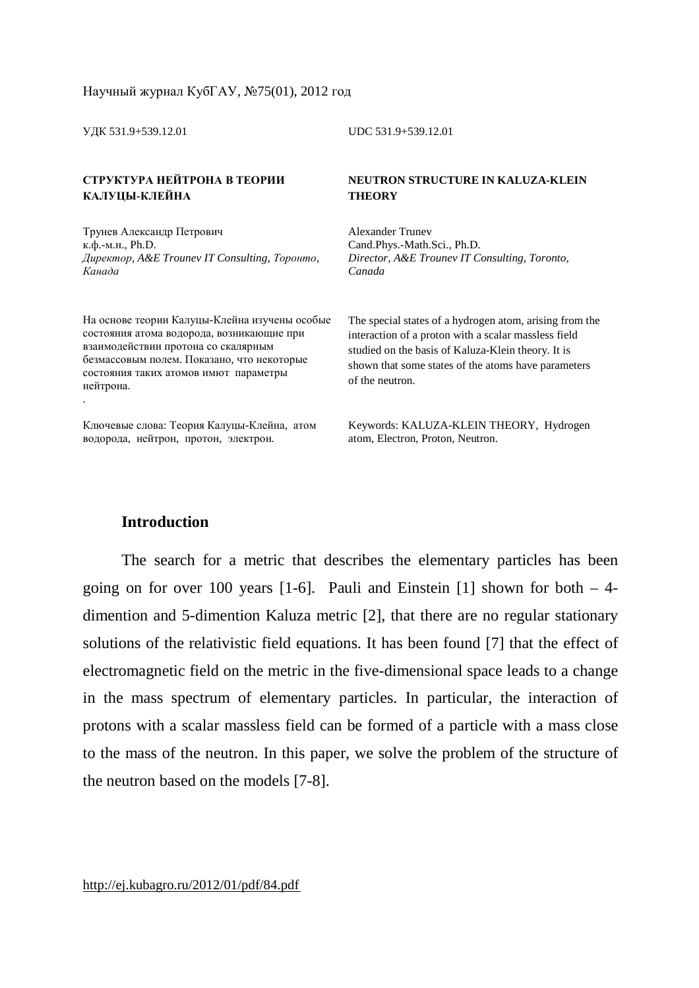УДК 531.9+539.12.01 UDC 531.9+539.12.01

#### **СТРУКТУРА НЕЙТРОНА В ТЕОРИИ КАЛУЦЫ-КЛЕЙНА**

Трунев Александр Петрович к.ф.-м.н., Ph.D. *Директор, A&E Trounev IT Consulting, Торонто, Канада*

На основе теории Калуцы-Клейна изучены особые состояния атома водорода, возникающие при взаимодействии протона со скалярным безмассовым полем. Показано, что некоторые состояния таких атомов имют параметры нейтрона. .

Ключевые слова: Теория Калуцы-Клейна, атом водорода, нейтрон, протон, электрон.

**NEUTRON STRUCTURE IN KALUZA-KLEIN THEORY**

Alexander Trunev Cand.Phys.-Math.Sci., Ph.D. *Director, A&E Trounev IT Consulting, Toronto, Canada* 

The special states of a hydrogen atom, arising from the interaction of a proton with a scalar massless field studied on the basis of Kaluza-Klein theory. It is shown that some states of the atoms have parameters of the neutron.

Keywords: KALUZA-KLEIN THEORY, Hydrogen atom, Electron, Proton, Neutron.

# **Introduction**

The search for a metric that describes the elementary particles has been going on for over 100 years  $[1-6]$ . Pauli and Einstein  $[1]$  shown for both  $-4$ dimention and 5-dimention Kaluza metric [2], that there are no regular stationary solutions of the relativistic field equations. It has been found [7] that the effect of electromagnetic field on the metric in the five-dimensional space leads to a change in the mass spectrum of elementary particles. In particular, the interaction of protons with a scalar massless field can be formed of a particle with a mass close to the mass of the neutron. In this paper, we solve the problem of the structure of the neutron based on the models [7-8].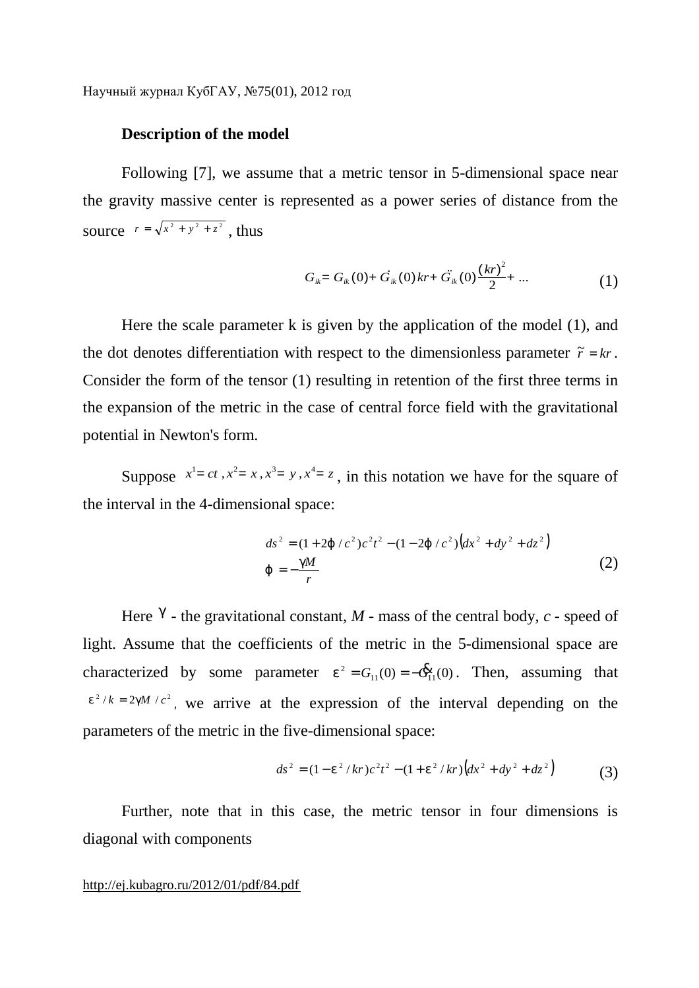## **Description of the model**

Following [7], we assume that a metric tensor in 5-dimensional space near the gravity massive center is represented as a power series of distance from the source  $r = \sqrt{x^2 + y^2 + z^2}$ , thus

$$
G_{ik} = G_{ik}(0) + \dot{G}_{ik}(0)kr + \ddot{G}_{ik}(0)\frac{(kr)^2}{2} + \dots \tag{1}
$$

Here the scale parameter k is given by the application of the model (1), and the dot denotes differentiation with respect to the dimensionless parameter  $\tilde{r} = kr$ . Consider the form of the tensor (1) resulting in retention of the first three terms in the expansion of the metric in the case of central force field with the gravitational potential in Newton's form.

Suppose  $x^1 = ct$ ,  $x^2 = x$ ,  $x^3 = y$ ,  $x^4 = z$ , in this notation we have for the square of the interval in the 4-dimensional space:

$$
ds^{2} = (1+2j/c^{2})c^{2}t^{2} - (1-2j/c^{2})(dx^{2} + dy^{2} + dz^{2})
$$
  
\n
$$
j = -\frac{gM}{r}
$$
 (2)

Here  $\beta$  - the gravitational constant,  $M$  - mass of the central body,  $c$  - speed of light. Assume that the coefficients of the metric in the 5-dimensional space are characterized by some parameter  $e^2 = G_{11}(0) = -\mathbf{G}_{11}^2(0)$  $e^{2} = G_{11}(0) = -\mathbf{\hat{G}}_{11}(0)$ . Then, assuming that  $e^{2}/k = 2gM/c^{2}$ , we arrive at the expression of the interval depending on the parameters of the metric in the five-dimensional space:

$$
ds^{2} = (1 - e^{2} / kr)c^{2}t^{2} - (1 + e^{2} / kr)\left(dx^{2} + dy^{2} + dz^{2}\right)
$$
 (3)

Further, note that in this case, the metric tensor in four dimensions is diagonal with components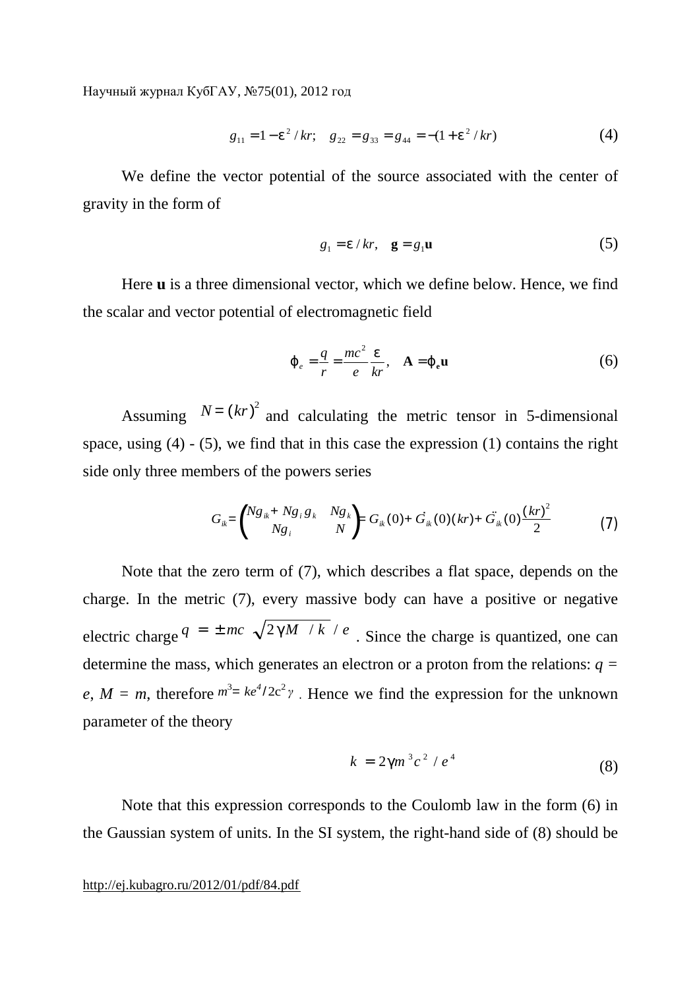$$
g_{11} = 1 - e^2 / kr
$$
;  $g_{22} = g_{33} = g_{44} = -(1 + e^2 / kr)$  (4)

We define the vector potential of the source associated with the center of gravity in the form of

$$
g_1 = e/kr, \quad \mathbf{g} = g_1 \mathbf{u} \tag{5}
$$

Here **u** is a three dimensional vector, which we define below. Hence, we find the scalar and vector potential of electromagnetic field

$$
\boldsymbol{j}_{e} = \frac{q}{r} = \frac{mc^2}{e} \frac{e}{kr}, \quad \mathbf{A} = \boldsymbol{j}_{e} \mathbf{u}
$$
 (6)

Assuming  $N = (kr)^2$  and calculating the metric tensor in 5-dimensional space, using  $(4)$  -  $(5)$ , we find that in this case the expression  $(1)$  contains the right side only three members of the powers series

$$
G_{ik} = \begin{pmatrix} Ng_{ik} + Ng_i g_k & Ng_k \\ Ng_i & N \end{pmatrix} = G_{ik}(0) + G_{ik}(0)(kr) + \ddot{G}_{ik}(0)\frac{(kr)^2}{2}
$$
(7)

Note that the zero term of (7), which describes a flat space, depends on the charge. In the metric (7), every massive body can have a positive or negative electric charge  $q = \pm mc \sqrt{2gM/k}/e$ . Since the charge is quantized, one can determine the mass, which generates an electron or a proton from the relations: *q =*   $e, M = m$ , therefore  $m^3 = ke^4/2c^2\gamma$ . Hence we find the expression for the unknown parameter of the theory

$$
k = 2gm^3c^2 / e^4 \tag{8}
$$

Note that this expression corresponds to the Coulomb law in the form (6) in the Gaussian system of units. In the SI system, the right-hand side of (8) should be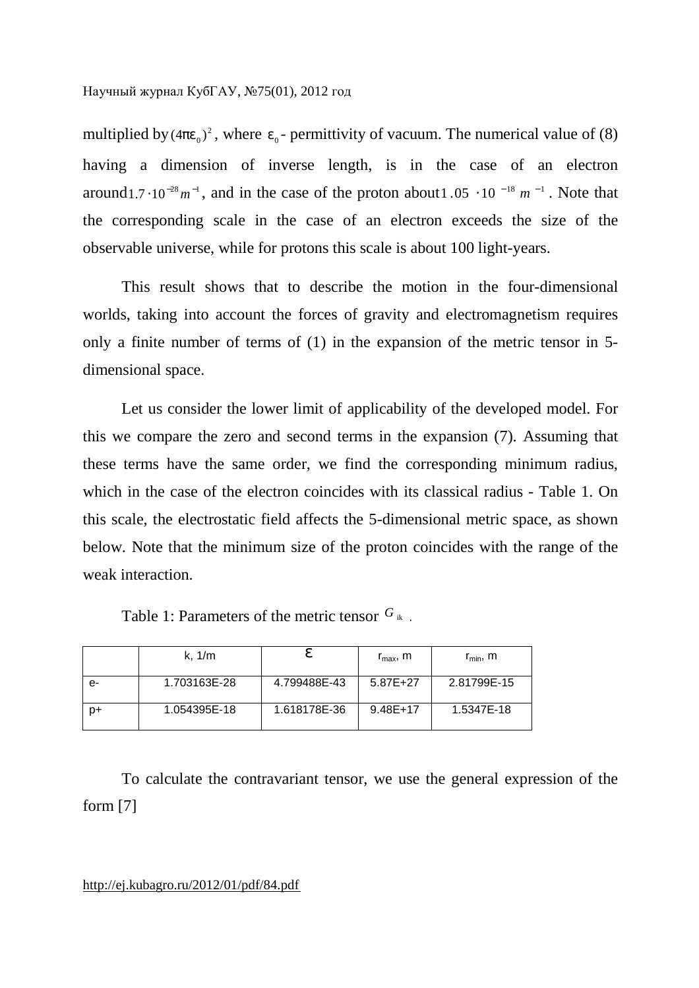multiplied by  $(4pe_0)^2$ , where  $e_0$ - permittivity of vacuum. The numerical value of (8) having a dimension of inverse length, is in the case of an electron around 1.7  $\cdot 10^{-28}$   $m^{-1}$ , and in the case of the proton about 1.05  $\cdot 10^{-18}$   $m^{-1}$ . Note that the corresponding scale in the case of an electron exceeds the size of the observable universe, while for protons this scale is about 100 light-years.

This result shows that to describe the motion in the four-dimensional worlds, taking into account the forces of gravity and electromagnetism requires only a finite number of terms of (1) in the expansion of the metric tensor in 5 dimensional space.

Let us consider the lower limit of applicability of the developed model. For this we compare the zero and second terms in the expansion (7). Assuming that these terms have the same order, we find the corresponding minimum radius, which in the case of the electron coincides with its classical radius - Table 1. On this scale, the electrostatic field affects the 5-dimensional metric space, as shown below. Note that the minimum size of the proton coincides with the range of the weak interaction.

|    | k, $1/m$     |              | $r_{\rm max}$ , m | $r_{\min}$ , m |
|----|--------------|--------------|-------------------|----------------|
| e- | 1.703163E-28 | 4.799488E-43 | $5.87E+27$        | 2.81799E-15    |
| D+ | 1.054395E-18 | 1.618178E-36 | $9.48E+17$        | 1.5347E-18     |

Table 1: Parameters of the metric tensor  $G_{ik}$ .

To calculate the contravariant tensor, we use the general expression of the form [7]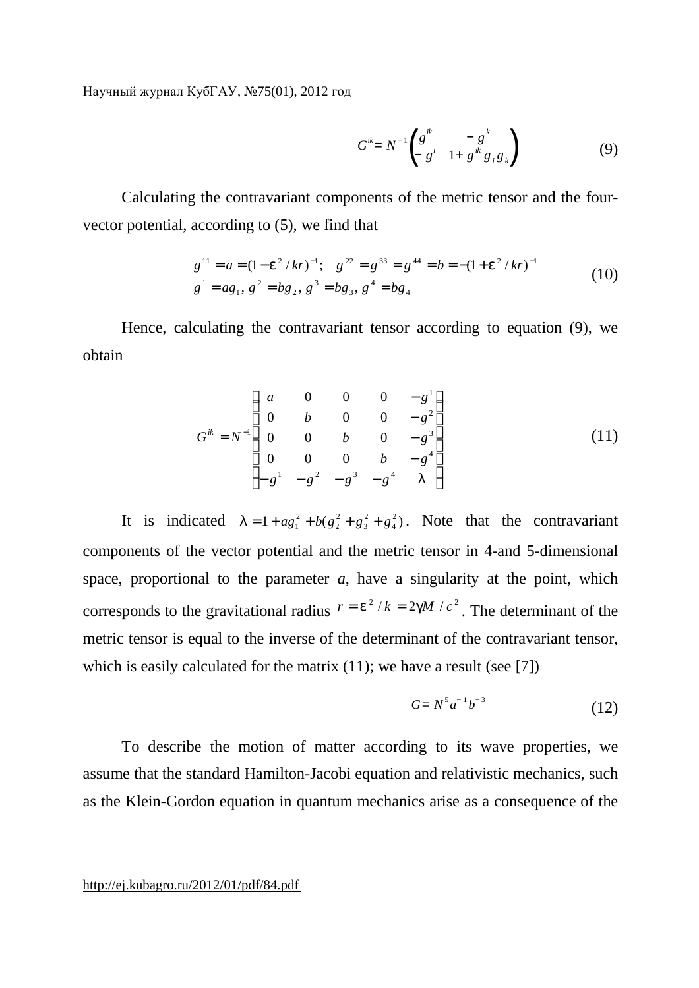$$
G^{ik} = N^{-1} \begin{pmatrix} g^{ik} & -g^k \\ g^i & 1 + g^{ik} g_i g_k \end{pmatrix}
$$
 (9)

Calculating the contravariant components of the metric tensor and the fourvector potential, according to (5), we find that

$$
g^{11} = a = (1 - e^2 / kr)^{-1}; \quad g^{22} = g^{33} = g^{44} = b = -(1 + e^2 / kr)^{-1}
$$
  
\n
$$
g^1 = ag_1, g^2 = bg_2, g^3 = bg_3, g^4 = bg_4
$$
\n(10)

Hence, calculating the contravariant tensor according to equation (9), we obtain

$$
G^{ik} = N^{-1} \begin{pmatrix} a & 0 & 0 & 0 & -g^{1} \\ 0 & b & 0 & 0 & -g^{2} \\ 0 & 0 & b & 0 & -g^{3} \\ 0 & 0 & 0 & b & -g^{4} \\ -g^{1} & -g^{2} & -g^{3} & -g^{4} & I \end{pmatrix}
$$
(11)

It is indicated  $I = 1 + ag_1^2 + b(g_2^2 + g_3^2 + g_4^2)$ 4 2 3 2 2  $l = 1 + a g_1^2 + b(g_2^2 + g_3^2 + g_4^2)$ . Note that the contravariant components of the vector potential and the metric tensor in 4-and 5-dimensional space, proportional to the parameter  $a$ , have a singularity at the point, which corresponds to the gravitational radius  $r = e^2/k = 2gM/c^2$ . The determinant of the metric tensor is equal to the inverse of the determinant of the contravariant tensor, which is easily calculated for the matrix (11); we have a result (see [7])

$$
G = N^5 a^{-1} b^{-3} \tag{12}
$$

To describe the motion of matter according to its wave properties, we assume that the standard Hamilton-Jacobi equation and relativistic mechanics, such as the Klein-Gordon equation in quantum mechanics arise as a consequence of the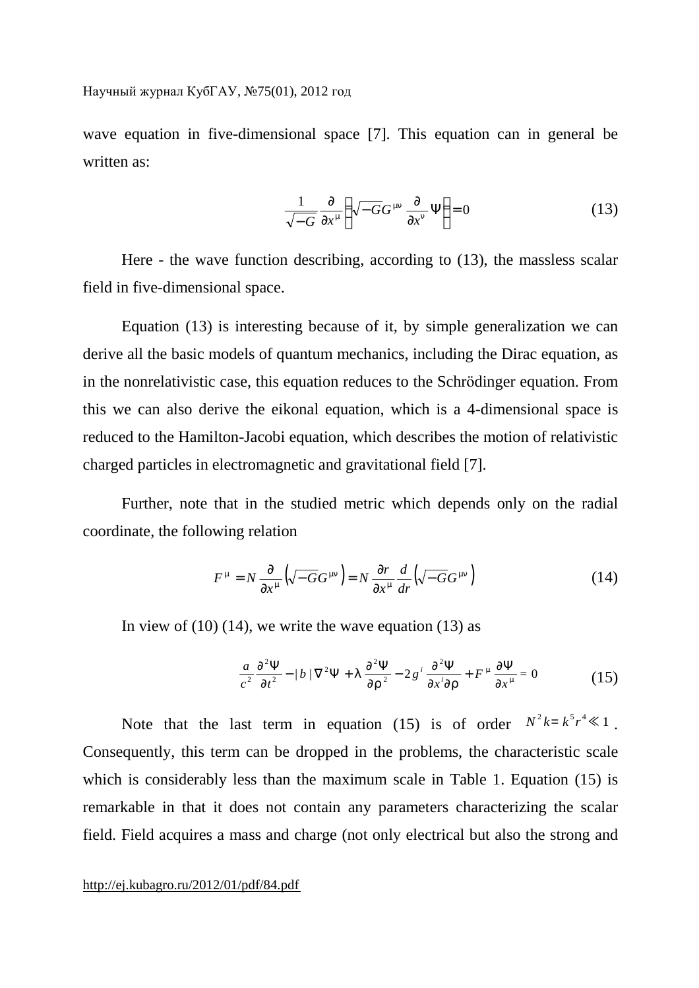wave equation in five-dimensional space [7]. This equation can in general be written as:

$$
\frac{1}{\sqrt{-G}} \frac{\partial}{\partial x^m} \left( \sqrt{-G} G^{mn} \frac{\partial}{\partial x^n} \Psi \right) = 0 \tag{13}
$$

Here - the wave function describing, according to (13), the massless scalar field in five-dimensional space.

Equation (13) is interesting because of it, by simple generalization we can derive all the basic models of quantum mechanics, including the Dirac equation, as in the nonrelativistic case, this equation reduces to the Schrödinger equation. From this we can also derive the eikonal equation, which is a 4-dimensional space is reduced to the Hamilton-Jacobi equation, which describes the motion of relativistic charged particles in electromagnetic and gravitational field [7].

Further, note that in the studied metric which depends only on the radial coordinate, the following relation

$$
F^{\mathbf{m}} = N \frac{\partial}{\partial x^{\mathbf{m}}} \left( \sqrt{-G} G^{\mathbf{m} \mathbf{n}} \right) = N \frac{\partial r}{\partial x^{\mathbf{m}}} \frac{d}{dr} \left( \sqrt{-G} G^{\mathbf{m} \mathbf{n}} \right)
$$
(14)

In view of  $(10)$   $(14)$ , we write the wave equation  $(13)$  as

$$
\frac{a}{c^2} \frac{\partial^2 \Psi}{\partial t^2} - |b| \nabla^2 \Psi + I \frac{\partial^2 \Psi}{\partial r^2} - 2 g^i \frac{\partial^2 \Psi}{\partial x^i \partial r} + F^m \frac{\partial \Psi}{\partial x^m} = 0 \tag{15}
$$

Note that the last term in equation (15) is of order  $N^2 k = k^5 r^4 \ll 1$ . Consequently, this term can be dropped in the problems, the characteristic scale which is considerably less than the maximum scale in Table 1. Equation (15) is remarkable in that it does not contain any parameters characterizing the scalar field. Field acquires a mass and charge (not only electrical but also the strong and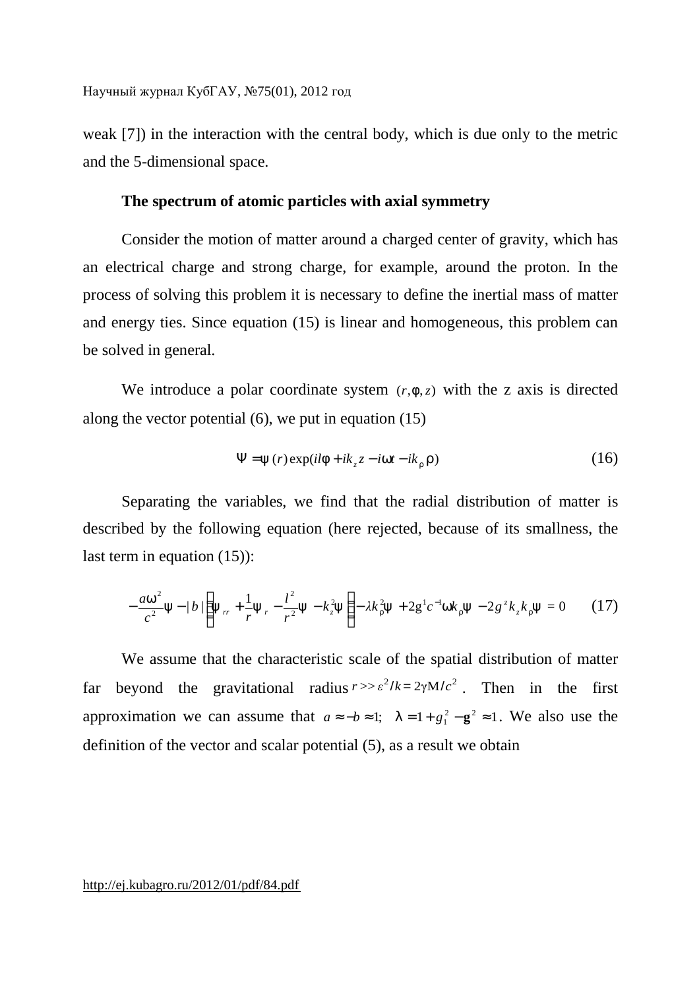weak [7]) in the interaction with the central body, which is due only to the metric and the 5-dimensional space.

## **The spectrum of atomic particles with axial symmetry**

Consider the motion of matter around a charged center of gravity, which has an electrical charge and strong charge, for example, around the proton. In the process of solving this problem it is necessary to define the inertial mass of matter and energy ties. Since equation (15) is linear and homogeneous, this problem can be solved in general.

We introduce a polar coordinate system (*r*,*f*,*z*) with the z axis is directed along the vector potential (6), we put in equation (15)

$$
\Psi = y(r) \exp(i l f + i k_z z - i w t - i k_r r)
$$
\n(16)

Separating the variables, we find that the radial distribution of matter is described by the following equation (here rejected, because of its smallness, the last term in equation (15)):

$$
-\frac{aw^2}{c^2}y - \frac{b}{\left(y_r + \frac{1}{r}y_r - \frac{l^2}{r^2}y - k_z^2y\right)} - \lambda k_x^2 y + 2g^1 c^{-1} w k_x y - 2g^2 k_z k_x y = 0 \tag{17}
$$

We assume that the characteristic scale of the spatial distribution of matter far beyond the gravitational radius  $r \gg \varepsilon^2 / k = 2 \gamma M / c^2$ . Then in the first approximation we can assume that  $a \approx -b \approx 1$ ;  $I = 1 + g_1^2 - g^2 \approx 1$ . We also use the definition of the vector and scalar potential (5), as a result we obtain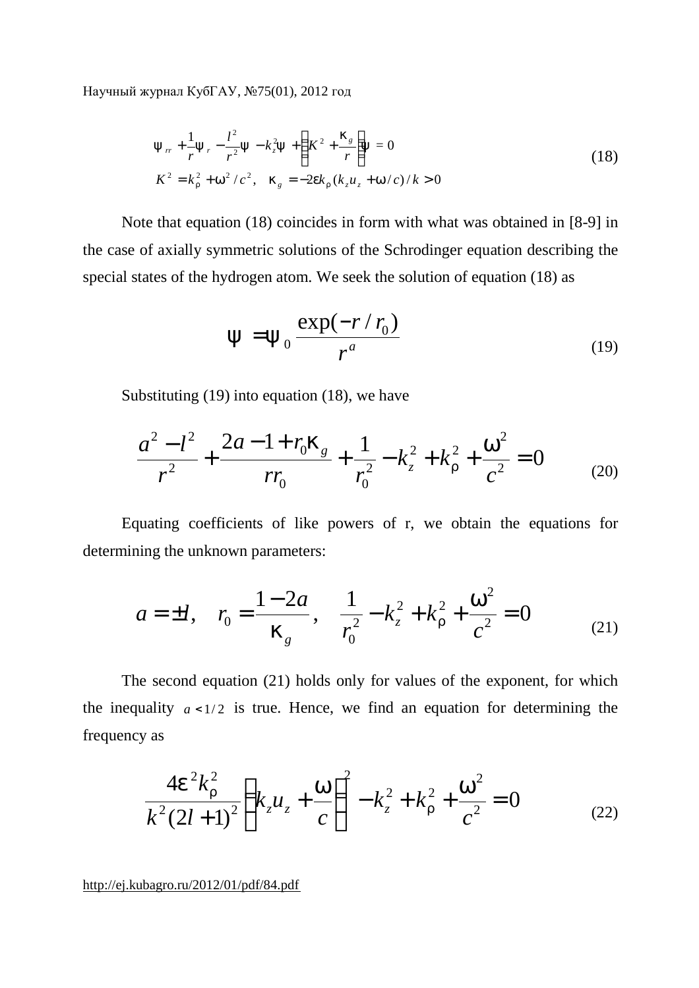$$
y_{rr} + \frac{1}{r}y_r - \frac{l^2}{r^2}y - k_z^2y + \left(K^2 + \frac{k_s}{r}\right)y = 0
$$
  

$$
K^2 = k_r^2 + w^2/c^2, \quad k_g = -2ek_r(k_zu_z + w/c)/k > 0
$$
 (18)

Note that equation (18) coincides in form with what was obtained in [8-9] in the case of axially symmetric solutions of the Schrodinger equation describing the special states of the hydrogen atom. We seek the solution of equation (18) as

$$
y = y_0 \frac{\exp(-r/r_0)}{r^a}
$$
 (19)

Substituting (19) into equation (18), we have

$$
\frac{a^2 - l^2}{r^2} + \frac{2a - 1 + r_0 k_g}{r r_0} + \frac{1}{r_0^2} - k_z^2 + k_r^2 + \frac{w^2}{c^2} = 0
$$
 (20)

Equating coefficients of like powers of r, we obtain the equations for determining the unknown parameters:

$$
a = \pm l, \quad r_0 = \frac{1 - 2a}{k_g}, \quad \frac{1}{r_0^2} - k_z^2 + k_r^2 + \frac{w^2}{c^2} = 0 \tag{21}
$$

The second equation (21) holds only for values of the exponent, for which the inequality  $a < 1/2$  is true. Hence, we find an equation for determining the frequency as

$$
\frac{4e^2k_r^2}{k^2(2l+1)^2}\left(k_zu_z+\frac{w}{c}\right)^2-k_z^2+k_r^2+\frac{w^2}{c^2}=0
$$
 (22)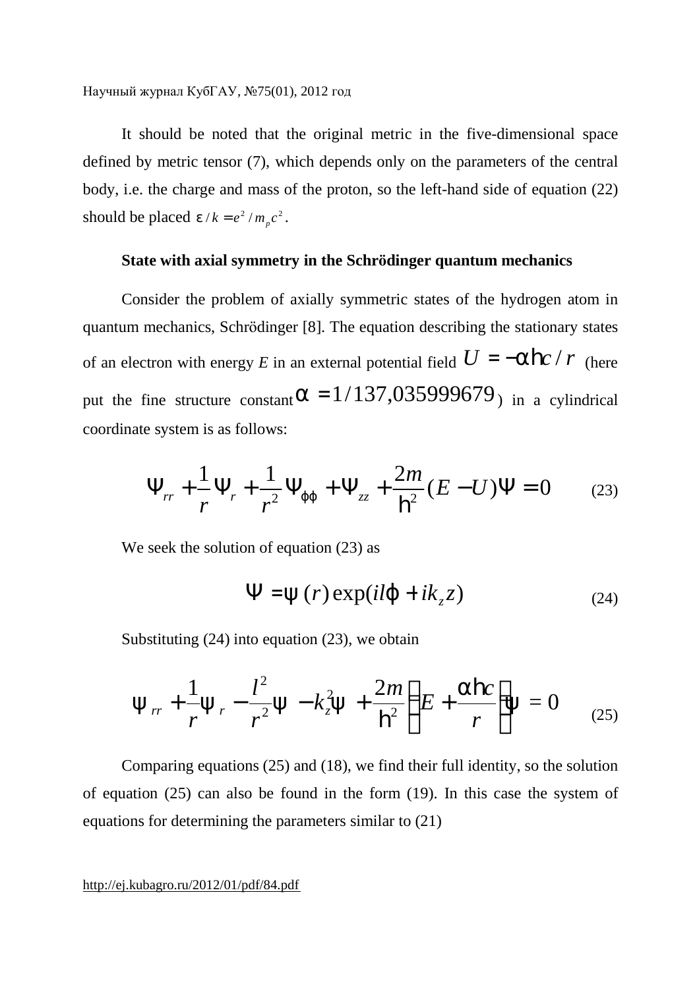It should be noted that the original metric in the five-dimensional space defined by metric tensor (7), which depends only on the parameters of the central body, i.e. the charge and mass of the proton, so the left-hand side of equation (22) should be placed  $e/k = e^2 / m_p c^2$ .

# **State with axial symmetry in the Schrödinger quantum mechanics**

Consider the problem of axially symmetric states of the hydrogen atom in quantum mechanics, Schrödinger [8]. The equation describing the stationary states of an electron with energy *E* in an external potential field  $U = -a\hbar c / r$  (here put the fine structure constant  $a = 1/137,035999679$  in a cylindrical coordinate system is as follows:

$$
\Psi_{rr} + \frac{1}{r} \Psi_r + \frac{1}{r^2} \Psi_{jj} + \Psi_{zz} + \frac{2m}{h^2} (E - U) \Psi = 0 \qquad (23)
$$

We seek the solution of equation (23) as

$$
\Psi = y(r) \exp(ilj + ik_z z)
$$
 (24)

Substituting (24) into equation (23), we obtain

$$
y_{rr} + \frac{1}{r}y_r - \frac{l^2}{r^2}y - k_z^2y + \frac{2m}{h^2}\left(E + \frac{ahc}{r}\right)y = 0
$$
 (25)

Comparing equations (25) and (18), we find their full identity, so the solution of equation (25) can also be found in the form (19). In this case the system of equations for determining the parameters similar to (21)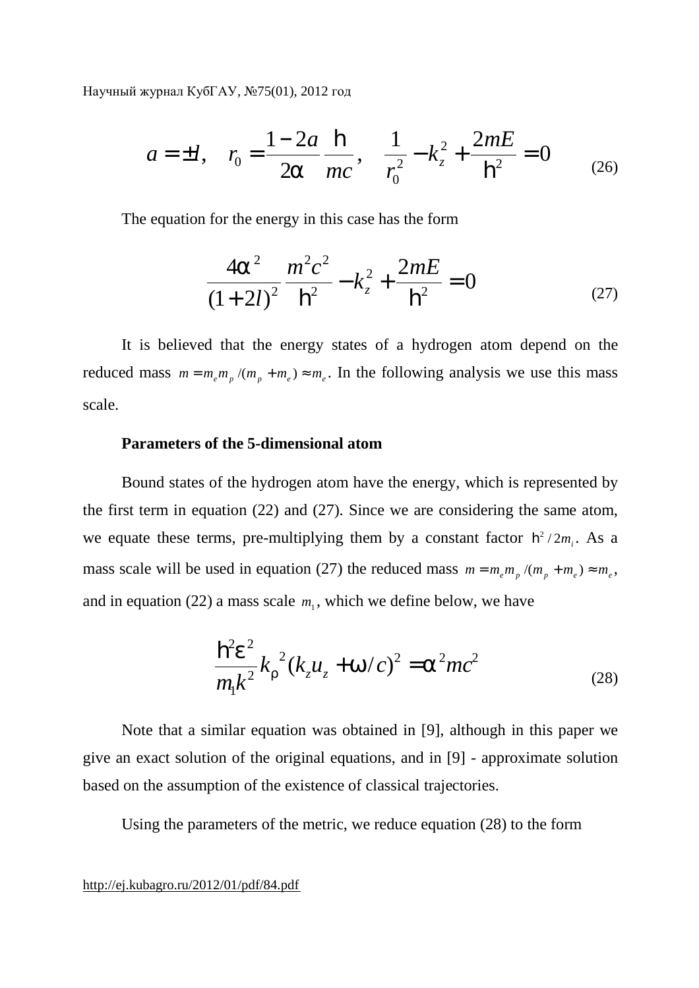$$
a = \pm l
$$
,  $r_0 = \frac{1 - 2a}{2a} \frac{\mathbf{h}}{mc}$ ,  $\frac{1}{r_0^2} - k_z^2 + \frac{2mE}{\mathbf{h}^2} = 0$  (26)

The equation for the energy in this case has the form

$$
\frac{4a^2}{(1+2l)^2} \frac{m^2c^2}{h^2} - k_z^2 + \frac{2mE}{h^2} = 0
$$
 (27)

It is believed that the energy states of a hydrogen atom depend on the reduced mass  $m = m_e m_p / (m_p + m_e) \approx m_e$ . In the following analysis we use this mass scale.

## **Parameters of the 5-dimensional atom**

Bound states of the hydrogen atom have the energy, which is represented by the first term in equation (22) and (27). Since we are considering the same atom, we equate these terms, pre-multiplying them by a constant factor  $h^2/2m_i$ . As a mass scale will be used in equation (27) the reduced mass  $m = m_e m_p / (m_p + m_e) \approx m_e$ , and in equation (22) a mass scale  $m_1$ , which we define below, we have

$$
\frac{\mathbf{h}^2 e^2}{m_1 k^2} k_r^2 (k_z u_z + w/c)^2 = \mathbf{a}^2 mc^2
$$
 (28)

Note that a similar equation was obtained in [9], although in this paper we give an exact solution of the original equations, and in [9] - approximate solution based on the assumption of the existence of classical trajectories.

Using the parameters of the metric, we reduce equation (28) to the form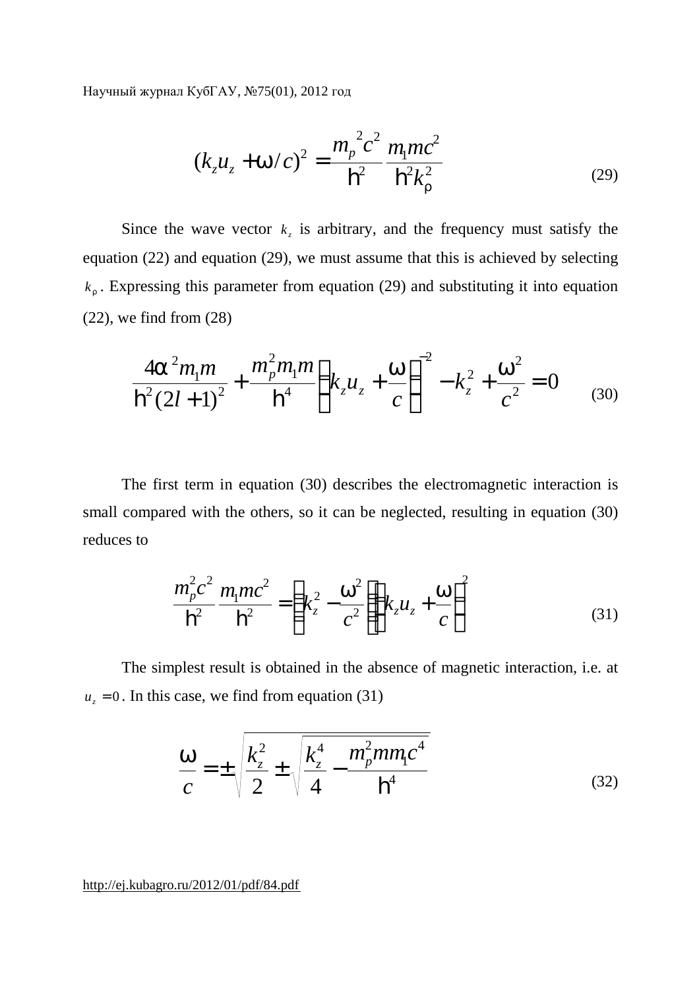$$
(k_z u_z + w/c)^2 = \frac{m_p^2 c^2}{h^2} \frac{m_1 mc^2}{h^2 k_r^2}
$$
 (29)

Since the wave vector  $k<sub>z</sub>$  is arbitrary, and the frequency must satisfy the equation (22) and equation (29), we must assume that this is achieved by selecting  $k_r$ . Expressing this parameter from equation (29) and substituting it into equation (22), we find from (28)

$$
\frac{4a^2m_1m}{h^2(2l+1)^2} + \frac{m_p^2m_1m}{h^4} \left(k_zu_z + \frac{w}{c}\right)^{-2} - k_z^2 + \frac{w^2}{c^2} = 0
$$
 (30)

The first term in equation (30) describes the electromagnetic interaction is small compared with the others, so it can be neglected, resulting in equation (30) reduces to

$$
\frac{m_p^2 c^2}{h^2} \frac{m_1 m c^2}{h^2} = \left(k_z^2 - \frac{w^2}{c^2}\right) \left(k_z u_z + \frac{w}{c}\right)^2
$$
(31)

The simplest result is obtained in the absence of magnetic interaction, i.e. at  $u_z = 0$ . In this case, we find from equation (31)

$$
\frac{W}{c} = \pm \sqrt{\frac{k_z^2}{2} \pm \sqrt{\frac{k_z^4}{4} - \frac{m_p^2 m m_l c^4}{h^4}}}
$$
(32)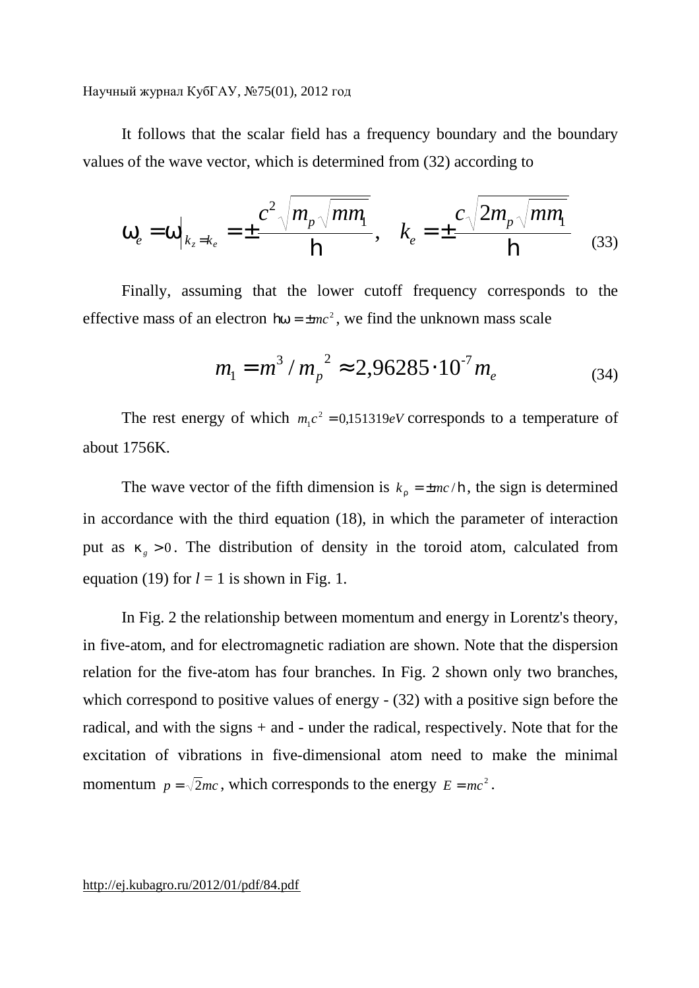It follows that the scalar field has a frequency boundary and the boundary values of the wave vector, which is determined from (32) according to

$$
W_e = W|_{k_z = k_e} = \pm \frac{c^2 \sqrt{m_p \sqrt{mm}}}{\hbar}, \quad k_e = \pm \frac{c \sqrt{2m_p \sqrt{mm}}}{\hbar}
$$
(33)

Finally, assuming that the lower cutoff frequency corresponds to the effective mass of an electron  $hw = \pm mc^2$ , we find the unknown mass scale

$$
m_1 = m^3 / m_p^2 \approx 2,96285 \cdot 10^7 m_e \tag{34}
$$

The rest energy of which  $m_1c^2 = 0.151319eV$  corresponds to a temperature of about 1756K.

The wave vector of the fifth dimension is  $k_r = \pm mc/\mathbf{h}$ , the sign is determined in accordance with the third equation (18), in which the parameter of interaction put as  $k_{g} > 0$ . The distribution of density in the toroid atom, calculated from equation (19) for  $l = 1$  is shown in Fig. 1.

In Fig. 2 the relationship between momentum and energy in Lorentz's theory, in five-atom, and for electromagnetic radiation are shown. Note that the dispersion relation for the five-atom has four branches. In Fig. 2 shown only two branches, which correspond to positive values of energy - (32) with a positive sign before the radical, and with the signs + and - under the radical, respectively. Note that for the excitation of vibrations in five-dimensional atom need to make the minimal momentum  $p = \sqrt{2}mc$ , which corresponds to the energy  $E = mc^2$ .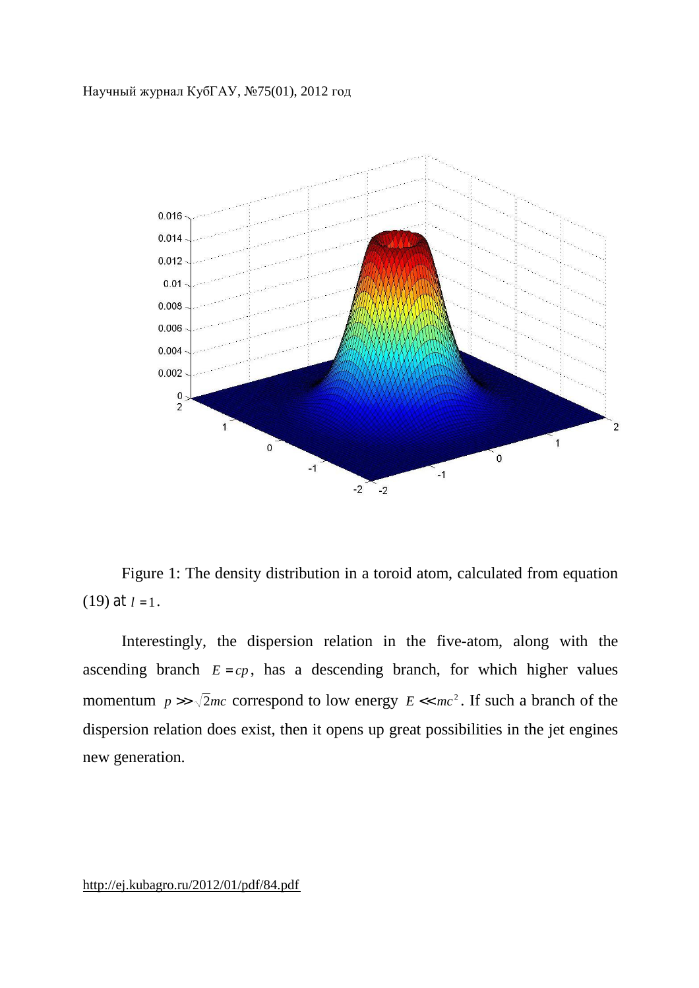

Figure 1: The density distribution in a toroid atom, calculated from equation (19) at  $l = 1$ .

Interestingly, the dispersion relation in the five-atom, along with the ascending branch  $E = cp$ , has a descending branch, for which higher values momentum  $p \gg \sqrt{2}mc$  correspond to low energy  $E \ll mc^2$ . If such a branch of the dispersion relation does exist, then it opens up great possibilities in the jet engines new generation.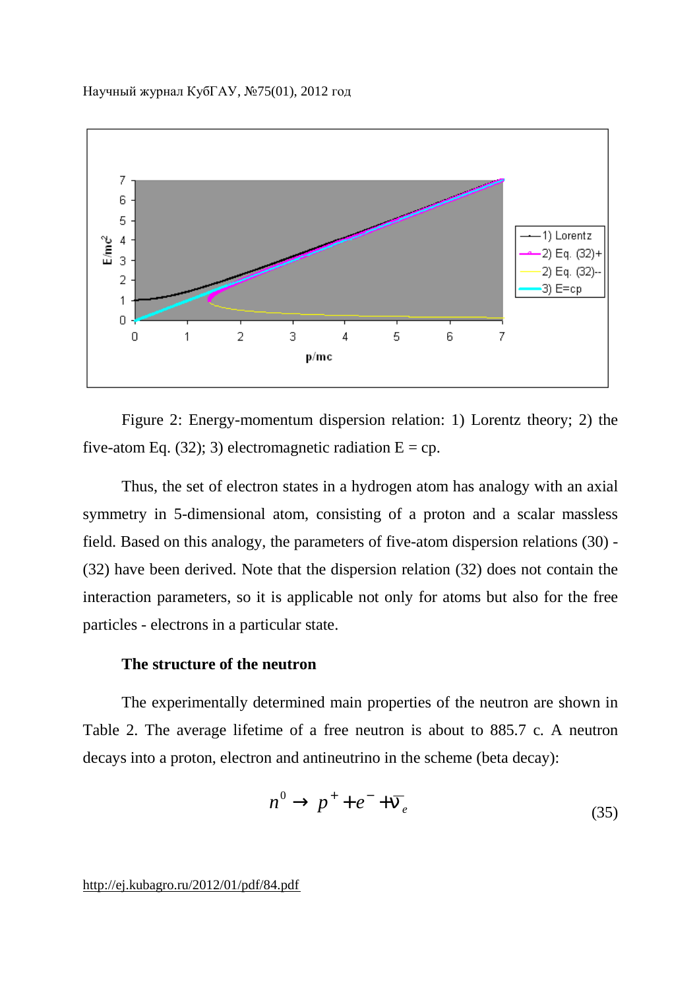

Figure 2: Energy-momentum dispersion relation: 1) Lorentz theory; 2) the five-atom Eq. (32); 3) electromagnetic radiation  $E = cp$ .

Thus, the set of electron states in a hydrogen atom has analogy with an axial symmetry in 5-dimensional atom, consisting of a proton and a scalar massless field. Based on this analogy, the parameters of five-atom dispersion relations (30) - (32) have been derived. Note that the dispersion relation (32) does not contain the interaction parameters, so it is applicable not only for atoms but also for the free particles - electrons in a particular state.

# **The structure of the neutron**

The experimentally determined main properties of the neutron are shown in Table 2. The average lifetime of a free neutron is about to 885.7 c. A neutron decays into a proton, electron and antineutrino in the scheme (beta decay):

$$
n^0 \to p^+ + e^- + \overline{n}_e \tag{35}
$$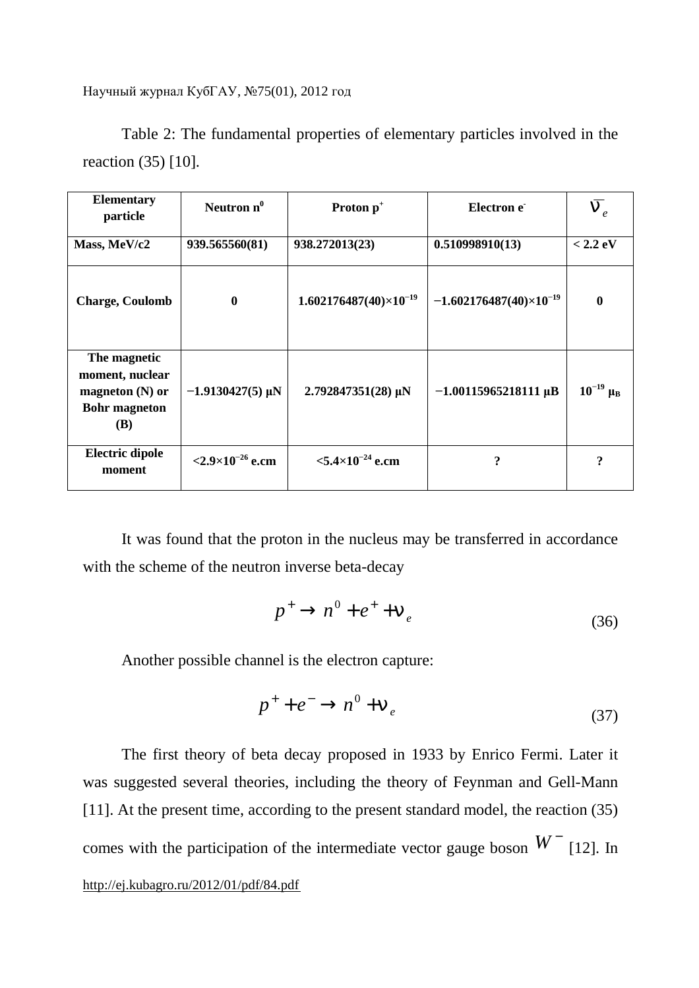Table 2: The fundamental properties of elementary particles involved in the reaction (35) [10].

| <b>Elementary</b><br>particle                                                              | Neutron $n^0$                  | Proton p <sup>+</sup>           | Electron e                       | $\bm{n}_e$       |
|--------------------------------------------------------------------------------------------|--------------------------------|---------------------------------|----------------------------------|------------------|
| Mass, MeV/c2                                                                               | 939.565560(81)                 | 938.272013(23)                  | 0.510998910(13)                  | $< 2.2$ eV       |
| <b>Charge, Coulomb</b>                                                                     | $\bf{0}$                       | $1.602176487(40)\times10^{-19}$ | $-1.602176487(40)\times10^{-19}$ | 0                |
| The magnetic<br>moment, nuclear<br>magneton $(N)$ or<br><b>Bohr</b> magneton<br><b>(B)</b> | $-1.9130427(5)$ µN             | $2.792847351(28)$ µN            | $-1.00115965218111 \,\mu B$      | $10^{-19} \mu_B$ |
| <b>Electric dipole</b><br>moment                                                           | $<$ 2.9×10 <sup>-26</sup> e.cm | $< 5.4 \times 10^{-24}$ e.cm    | ?                                | 9                |

It was found that the proton in the nucleus may be transferred in accordance with the scheme of the neutron inverse beta-decay

$$
p^+ \to n^0 + e^+ + n_e \tag{36}
$$

Another possible channel is the electron capture:

$$
p^+ + e^- \to n^0 + n_e \tag{37}
$$

<http://ej.kubagro.ru/2012/01/pdf/84.pdf> The first theory of beta decay proposed in 1933 by Enrico Fermi. Later it was suggested several theories, including the theory of Feynman and Gell-Mann [11]. At the present time, according to the present standard model, the reaction (35) comes with the participation of the intermediate vector gauge boson  $W^-$  [12]. In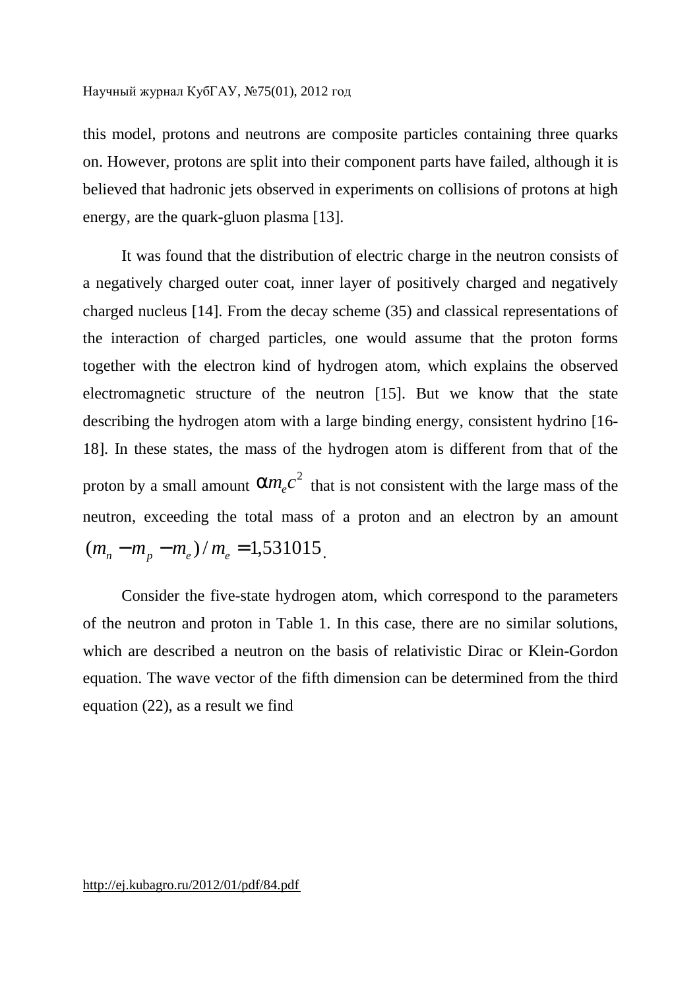this model, protons and neutrons are composite particles containing three quarks on. However, protons are split into their component parts have failed, although it is believed that hadronic jets observed in experiments on collisions of protons at high energy, are the quark-gluon plasma [13].

It was found that the distribution of electric charge in the neutron consists of a negatively charged outer coat, inner layer of positively charged and negatively charged nucleus [14]. From the decay scheme (35) and classical representations of the interaction of charged particles, one would assume that the proton forms together with the electron kind of hydrogen atom, which explains the observed electromagnetic structure of the neutron [15]. But we know that the state describing the hydrogen atom with a large binding energy, consistent hydrino [16- 18]. In these states, the mass of the hydrogen atom is different from that of the proton by a small amount  $am_ec^2$  that is not consistent with the large mass of the neutron, exceeding the total mass of a proton and an electron by an amount  $(m_n - m_p - m_e)/m_e = 1,531015$ .

Consider the five-state hydrogen atom, which correspond to the parameters of the neutron and proton in Table 1. In this case, there are no similar solutions, which are described a neutron on the basis of relativistic Dirac or Klein-Gordon equation. The wave vector of the fifth dimension can be determined from the third equation (22), as a result we find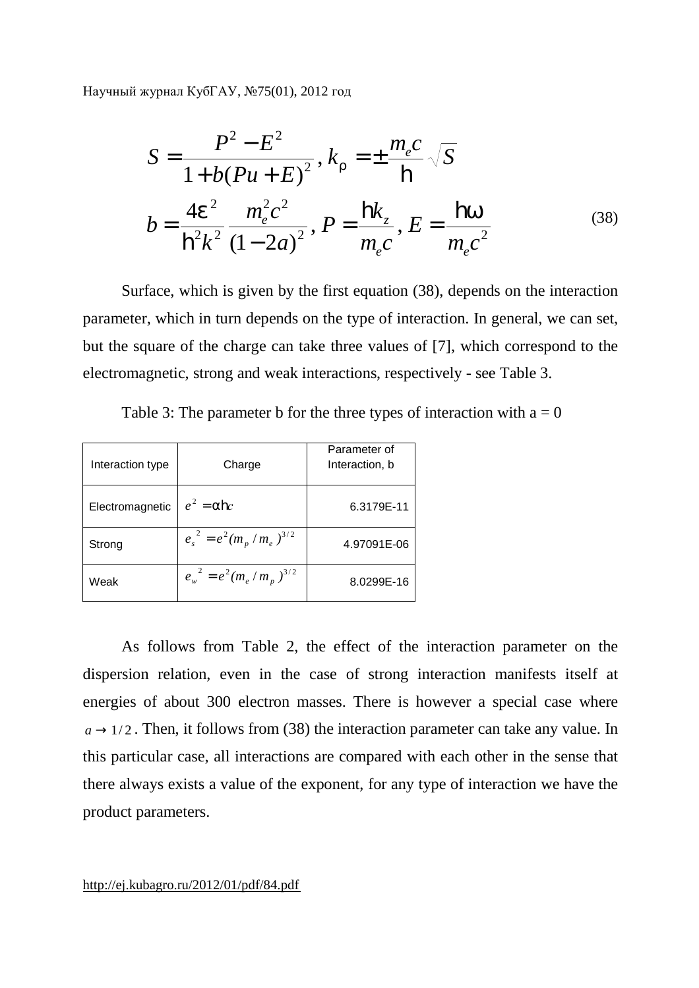$$
S = \frac{P^2 - E^2}{1 + b(Pu + E)^2}, k_r = \pm \frac{m_e c}{\hbar} \sqrt{S}
$$
  

$$
b = \frac{4e^2}{\hbar^2 k^2} \frac{m_e^2 c^2}{(1 - 2a)^2}, P = \frac{\hbar k_z}{m_e c}, E = \frac{\hbar w}{m_e c^2}
$$
 (38)

Surface, which is given by the first equation (38), depends on the interaction parameter, which in turn depends on the type of interaction. In general, we can set, but the square of the charge can take three values of [7], which correspond to the electromagnetic, strong and weak interactions, respectively - see Table 3.

| Interaction type | Charge                        | Parameter of<br>Interaction, b |
|------------------|-------------------------------|--------------------------------|
| Electromagnetic  | $e^2 = a \mathbf{h} c$        | 6.3179E-11                     |
| Strong           | $e_s^2 = e^2 (m_p/m_e)^{3/2}$ | 4.97091E-06                    |
| Weak             | $e_w^2 = e^2 (m_e/m_p)^{3/2}$ | 8.0299E-16                     |

Table 3: The parameter b for the three types of interaction with  $a = 0$ 

As follows from Table 2, the effect of the interaction parameter on the dispersion relation, even in the case of strong interaction manifests itself at energies of about 300 electron masses. There is however a special case where  $a \rightarrow 1/2$ . Then, it follows from (38) the interaction parameter can take any value. In this particular case, all interactions are compared with each other in the sense that there always exists a value of the exponent, for any type of interaction we have the product parameters.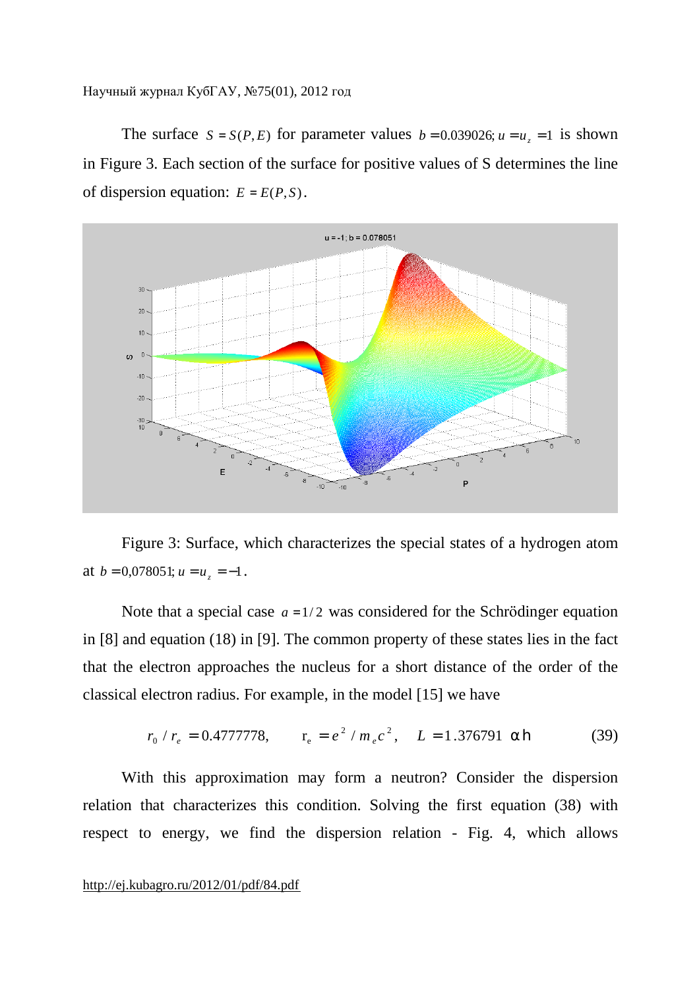The surface  $S = S(P, E)$  for parameter values  $b = 0.039026$ ;  $u = u_z = 1$  is shown in Figure 3. Each section of the surface for positive values of S determines the line of dispersion equation:  $E = E(P, S)$ .



Figure 3: Surface, which characterizes the special states of a hydrogen atom at  $b = 0.078051; u = u_z = -1$ .

Note that a special case  $a = 1/2$  was considered for the Schrödinger equation in [8] and equation (18) in [9]. The common property of these states lies in the fact that the electron approaches the nucleus for a short distance of the order of the classical electron radius. For example, in the model [15] we have

$$
r_0 / r_e = 0.4777778
$$
,  $r_e = e^2 / m_e c^2$ ,  $L = 1.376791$  **ah** (39)

With this approximation may form a neutron? Consider the dispersion relation that characterizes this condition. Solving the first equation (38) with respect to energy, we find the dispersion relation - Fig. 4, which allows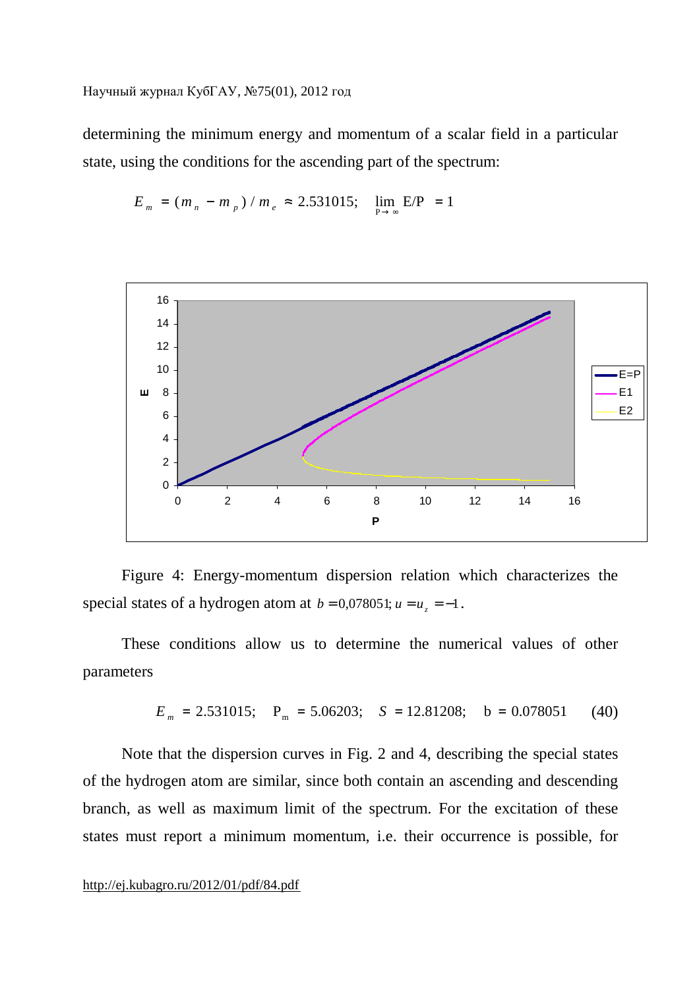determining the minimum energy and momentum of a scalar field in a particular state, using the conditions for the ascending part of the spectrum:

$$
E_m = (m_n - m_p) / m_e \approx 2.531015; \quad \lim_{P \to \infty} E/P = 1
$$



Figure 4: Energy-momentum dispersion relation which characterizes the special states of a hydrogen atom at  $b = 0.078051$ ;  $u = u_z = -1$ .

These conditions allow us to determine the numerical values of other parameters

$$
E_m = 2.531015;
$$
  $P_m = 5.06203;$   $S = 12.81208;$   $b = 0.078051$  (40)

Note that the dispersion curves in Fig. 2 and 4, describing the special states of the hydrogen atom are similar, since both contain an ascending and descending branch, as well as maximum limit of the spectrum. For the excitation of these states must report a minimum momentum, i.e. their occurrence is possible, for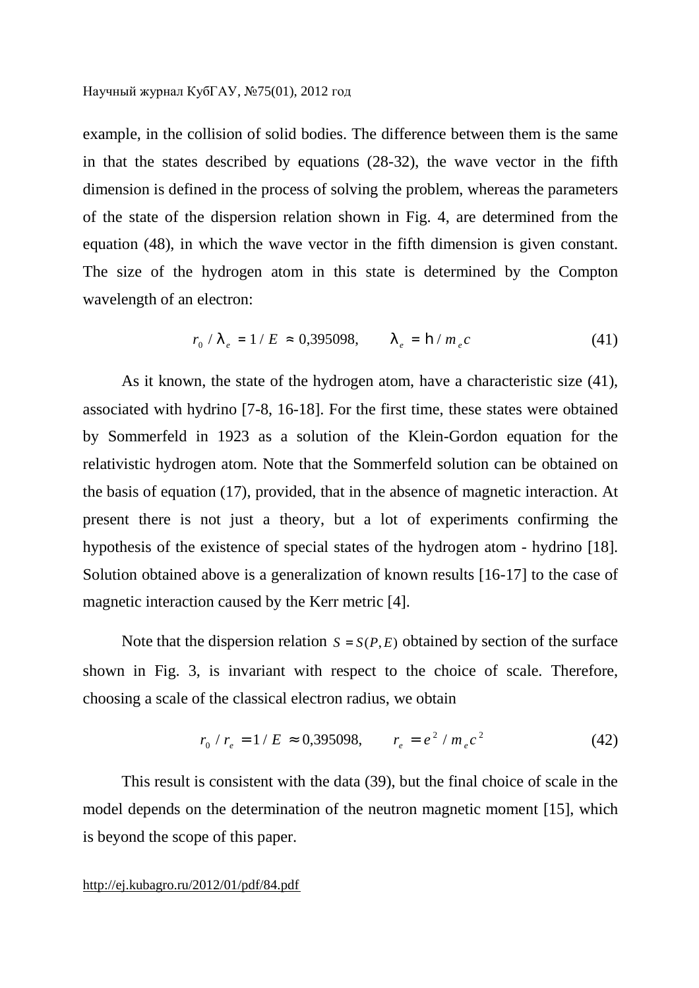example, in the collision of solid bodies. The difference between them is the same in that the states described by equations (28-32), the wave vector in the fifth dimension is defined in the process of solving the problem, whereas the parameters of the state of the dispersion relation shown in Fig. 4, are determined from the equation (48), in which the wave vector in the fifth dimension is given constant. The size of the hydrogen atom in this state is determined by the Compton wavelength of an electron:

$$
r_0 / I_e = 1 / E \approx 0.395098, \qquad I_e = \mathbf{h} / m_e c \tag{41}
$$

As it known, the state of the hydrogen atom, have a characteristic size (41), associated with hydrino [7-8, 16-18]. For the first time, these states were obtained by Sommerfeld in 1923 as a solution of the Klein-Gordon equation for the relativistic hydrogen atom. Note that the Sommerfeld solution can be obtained on the basis of equation (17), provided, that in the absence of magnetic interaction. At present there is not just a theory, but a lot of experiments confirming the hypothesis of the existence of special states of the hydrogen atom - hydrino [18]. Solution obtained above is a generalization of known results [16-17] to the case of magnetic interaction caused by the Kerr metric [4].

Note that the dispersion relation  $S = S(P, E)$  obtained by section of the surface shown in Fig. 3, is invariant with respect to the choice of scale. Therefore, choosing a scale of the classical electron radius, we obtain

$$
r_0 / r_e = 1 / E \approx 0,395098, \qquad r_e = e^2 / m_e c^2 \tag{42}
$$

This result is consistent with the data (39), but the final choice of scale in the model depends on the determination of the neutron magnetic moment [15], which is beyond the scope of this paper.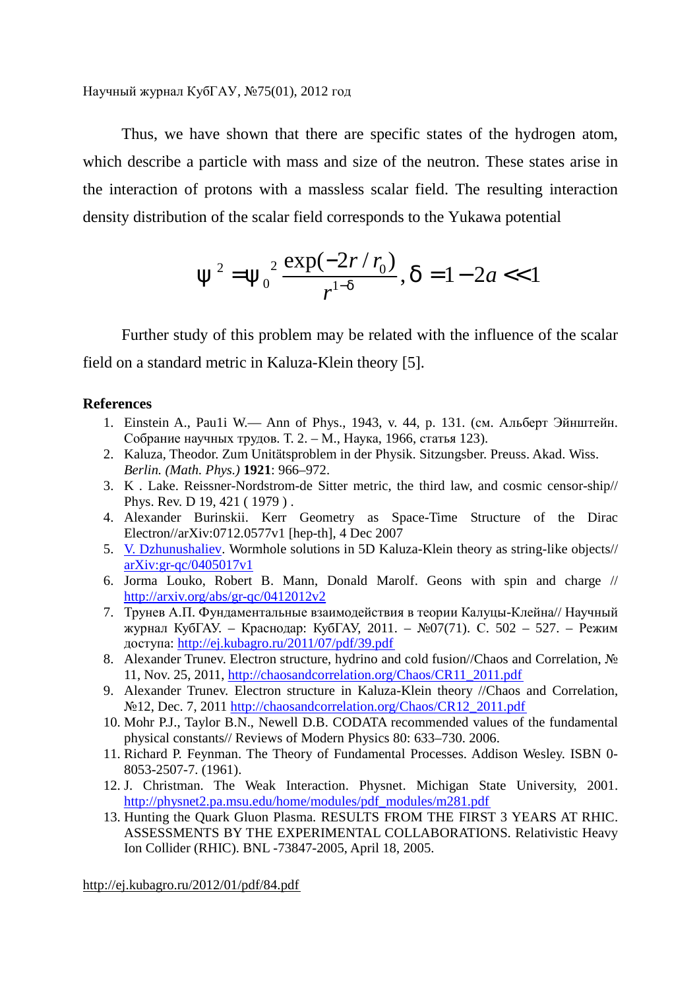Thus, we have shown that there are specific states of the hydrogen atom, which describe a particle with mass and size of the neutron. These states arise in the interaction of protons with a massless scalar field. The resulting interaction density distribution of the scalar field corresponds to the Yukawa potential

$$
y^2 = y_0^2 \frac{\exp(-2r/r_0)}{r^{1-d}}, d = 1 - 2a < 1
$$

Further study of this problem may be related with the influence of the scalar field on a standard metric in Kaluza-Klein theory [5].

### **References**

- 1. Einstein A., Pau1i W.— Ann of Phys., 1943, v. 44, p. 131. (см. Альберт Эйнштейн. Собрание научных трудов. Т. 2. – М., Наука, 1966, статья 123).
- 2. Kaluza, Theodor. Zum Unitätsproblem in der Physik. Sitzungsber. Preuss. Akad. Wiss. *Berlin. (Math. Phys.)* **1921**: 966–972.
- 3. K . Lake. Reissner-Nordstrom-de Sitter metric, the third law, and cosmic censor-ship// Phys. Rev. D 19, 421 ( 1979 ) .
- 4. Alexander Burinskii. Kerr Geometry as Space-Time Structure of the Dirac Electron//arXiv:0712.0577v1 [hep-th], 4 Dec 2007
- 5. V. Dzhunushaliev. Wormhole solutions in 5D Kaluza-Klein theory as string-like objects// arXiv:gr-qc/0405017v1
- 6. Jorma Louko, Robert B. Mann, Donald Marolf. Geons with spin and charge // <http://arxiv.org/abs/gr-qc/0412012v2>
- 7. Трунев А.П. Фундаментальные взаимодействия в теории Калуцы-Клейна// Научный журнал КубГАУ. – Краснодар: КубГАУ, 2011. – №07(71). С. 502 – 527. – Режим доступа:<http://ej.kubagro.ru/2011/07/pdf/39.pdf>
- 8. Alexander Trunev. Electron structure, hydrino and cold fusion//Chaos and Correlation, № 11, Nov. 25, 2011, [http://chaosandcorrelation.org/Chaos/CR11\\_2011.pdf](http://chaosandcorrelation.org/Chaos/CR11_2011.pdf)
- 9. Alexander Trunev. Electron structure in Kaluza-Klein theory //Chaos and Correlation, №12, Dec. 7, 2011 [http://chaosandcorrelation.org/Chaos/CR12\\_2011.pdf](http://chaosandcorrelation.org/Chaos/CR12_2011.pdf)
- 10. Mohr P.J., Taylor B.N., Newell D.B. CODATA recommended values of the fundamental physical constants// Reviews of Modern Physics 80: 633–730. 2006.
- 11. Richard P. Feynman. The Theory of Fundamental Processes. Addison Wesley. ISBN 0- 8053-2507-7. (1961).
- 12. J. Christman. The Weak Interaction. Physnet. Michigan State University, 2001. [http://physnet2.pa.msu.edu/home/modules/pdf\\_modules/m281.pdf](http://physnet2.pa.msu.edu/home/modules/pdf_modules/m281.pdf)
- 13. Hunting the Quark Gluon Plasma. RESULTS FROM THE FIRST 3 YEARS AT RHIC. ASSESSMENTS BY THE EXPERIMENTAL COLLABORATIONS. Relativistic Heavy Ion Collider (RHIC). BNL -73847-2005, April 18, 2005.